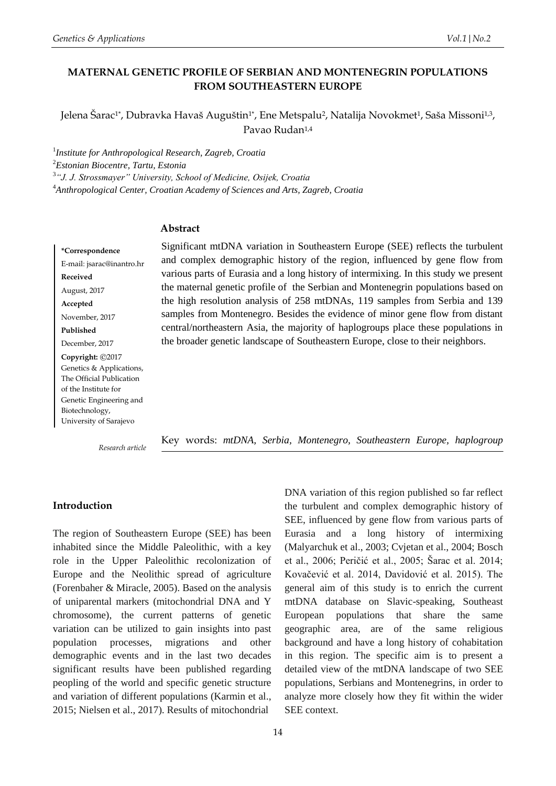Jelena Šarac<sup>1\*</sup>, Dubravka Havaš Auguštin<sup>1\*</sup>, Ene Metspalu<sup>2</sup>, Natalija Novokmet<sup>1</sup>, Saša Missoni<sup>1,3</sup>, Pavao Rudan<sup>1,4</sup>

 *Institute for Anthropological Research, Zagreb, Croatia Estonian Biocentre, Tartu, Estonia "J. J. Strossmayer" University, School of Medicine, Osijek, Croatia Anthropological Center, Croatian Academy of Sciences and Arts, Zagreb, Croatia*

## **Abstract**

**\*Correspondence** E-mail: jsarac@inantro.hr **Received** August, 2017 **Accepted** November, 2017 **Published** December, 2017 **Copyright:** ©2017 Genetics & Applications, The Official Publication of the Institute for Genetic Engineering and Biotechnology, University of Sarajevo

Significant mtDNA variation in Southeastern Europe (SEE) reflects the turbulent and complex demographic history of the region, influenced by gene flow from various parts of Eurasia and a long history of intermixing. In this study we present the maternal genetic profile of the Serbian and Montenegrin populations based on the high resolution analysis of 258 mtDNAs, 119 samples from Serbia and 139 samples from Montenegro. Besides the evidence of minor gene flow from distant central/northeastern Asia, the majority of haplogroups place these populations in the broader genetic landscape of Southeastern Europe, close to their neighbors.

*Research article*

Key words: *mtDNA, Serbia, Montenegro, Southeastern Europe, haplogroup*

## **Introduction**

The region of Southeastern Europe (SEE) has been inhabited since the Middle Paleolithic, with a key role in the Upper Paleolithic recolonization of Europe and the Neolithic spread of agriculture (Forenbaher & Miracle, 2005). Based on the analysis of uniparental markers (mitochondrial DNA and Y chromosome), the current patterns of genetic variation can be utilized to gain insights into past population processes, migrations and other demographic events and in the last two decades significant results have been published regarding peopling of the world and specific genetic structure and variation of different populations (Karmin et al., 2015; Nielsen et al., 2017). Results of mitochondrial

DNA variation of this region published so far reflect the turbulent and complex demographic history of SEE, influenced by gene flow from various parts of Eurasia and a long history of intermixing (Malyarchuk et al., 2003; Cvjetan et al., 2004; Bosch et al., 2006; Peričić et al., 2005; Šarac et al. 2014; Kovačević et al. 2014, Davidović et al. 2015). The general aim of this study is to enrich the current mtDNA database on Slavic-speaking, Southeast European populations that share the same geographic area, are of the same religious background and have a long history of cohabitation in this region. The specific aim is to present a detailed view of the mtDNA landscape of two SEE populations, Serbians and Montenegrins, in order to analyze more closely how they fit within the wider SEE context.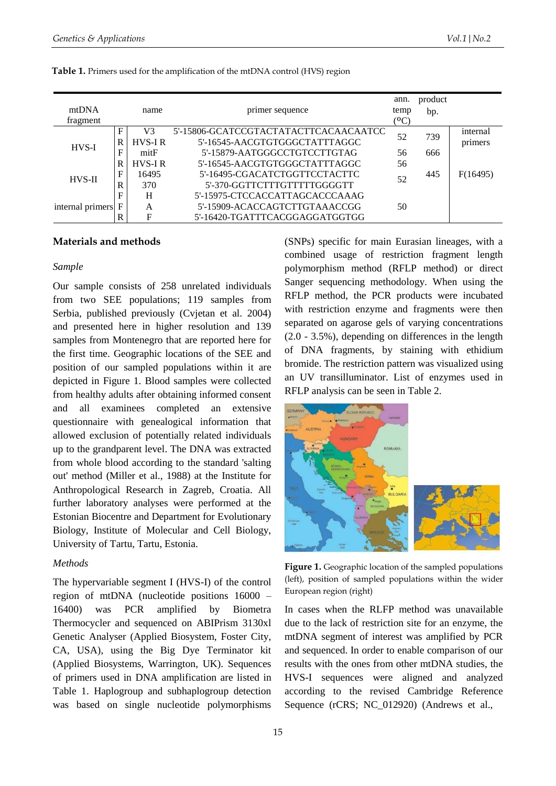| mtDNA<br>fragment |        | name                | primer sequence                                                        | ann.<br>temp<br>$(^{0}C)$ | product<br>bp. |                     |
|-------------------|--------|---------------------|------------------------------------------------------------------------|---------------------------|----------------|---------------------|
|                   | F<br>R | V3<br><b>HVS-IR</b> | 5'-15806-GCATCCGTACTATACTTCACAACAATCC<br>5'-16545-AACGTGTGGGCTATTTAGGC | 52                        | 739            | internal<br>primers |
| $HVS-I$           | F      | mitF                | 5'-15879-AATGGGCCTGTCCTTGTAG                                           | 56                        | 666            |                     |
|                   | R      | <b>HVS-IR</b>       | 5'-16545-AACGTGTGGGCTATTTAGGC                                          | 56                        |                |                     |
| <b>HVS-II</b>     | F      | 16495               | 5'-16495-CGACATCTGGTTCCTACTTC                                          | 52                        | 445            | F(16495)            |
|                   | R      | 370                 | 5'-370-GGTTCTTTGTTTTTGGGGTT                                            |                           |                |                     |
|                   | F      | H                   | 5'-15975-CTCCACCATTAGCACCCAAAG                                         |                           |                |                     |
| internal primers  |        | A                   | 5'-15909-ACACCAGTCTTGTAAACCGG                                          | 50                        |                |                     |
|                   | R      | F                   | 5'-16420-TGATTTCACGGAGGATGGTGG                                         |                           |                |                     |

#### **Table 1.** Primers used for the amplification of the mtDNA control (HVS) region

### **Materials and methods**

#### *Sample*

Our sample consists of 258 unrelated individuals from two SEE populations; 119 samples from Serbia, published previously (Cvjetan et al. 2004) and presented here in higher resolution and 139 samples from Montenegro that are reported here for the first time. Geographic locations of the SEE and position of our sampled populations within it are depicted in Figure 1. Blood samples were collected from healthy adults after obtaining informed consent and all examinees completed an extensive questionnaire with genealogical information that allowed exclusion of potentially related individuals up to the grandparent level. The DNA was extracted from whole blood according to the standard 'salting out' method (Miller et al., 1988) at the Institute for Anthropological Research in Zagreb, Croatia. All further laboratory analyses were performed at the Estonian Biocentre and Department for Evolutionary Biology, Institute of Molecular and Cell Biology, University of Tartu, Tartu, Estonia.

### *Methods*

The hypervariable segment I (HVS-I) of the control region of mtDNA (nucleotide positions 16000 – 16400) was PCR amplified by Biometra Thermocycler and sequenced on ABIPrism 3130xl Genetic Analyser (Applied Biosystem, Foster City, CA, USA), using the Big Dye Terminator kit (Applied Biosystems, Warrington, UK). Sequences of primers used in DNA amplification are listed in Table 1. Haplogroup and subhaplogroup detection was based on single nucleotide polymorphisms

(SNPs) specific for main Eurasian lineages, with a combined usage of restriction fragment length polymorphism method (RFLP method) or direct Sanger sequencing methodology. When using the RFLP method, the PCR products were incubated with restriction enzyme and fragments were then separated on agarose gels of varying concentrations (2.0 - 3.5%), depending on differences in the length of DNA fragments, by staining with ethidium bromide. The restriction pattern was visualized using an UV transilluminator. List of enzymes used in RFLP analysis can be seen in Table 2.



**Figure 1.** Geographic location of the sampled populations (left), position of sampled populations within the wider European region (right)

In cases when the RLFP method was unavailable due to the lack of restriction site for an enzyme, the mtDNA segment of interest was amplified by PCR and sequenced. In order to enable comparison of our results with the ones from other mtDNA studies, the HVS-I sequences were aligned and analyzed according to the revised Cambridge Reference Sequence (rCRS; NC\_012920) (Andrews et al.,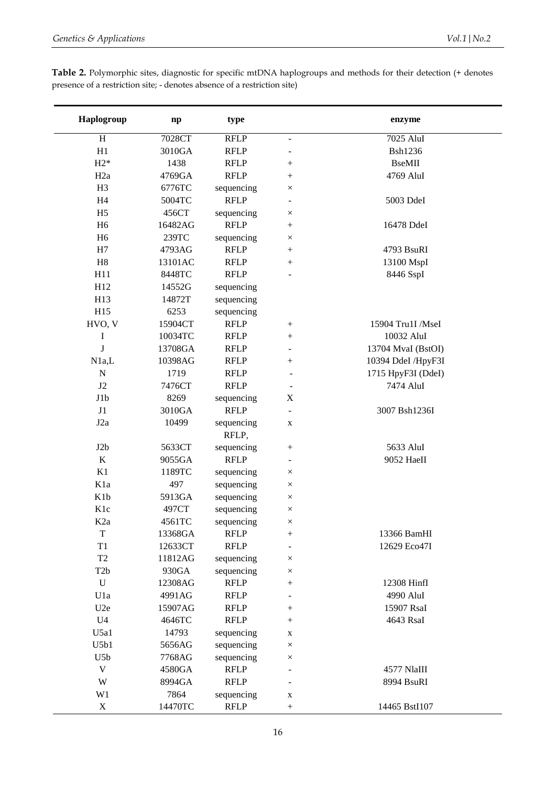| Haplogroup       | $\mathbf{np}$ | type                |                          | enzyme             |
|------------------|---------------|---------------------|--------------------------|--------------------|
| $\, {\rm H}$     | 7028CT        | <b>RFLP</b>         | $\blacksquare$           | 7025 AluI          |
| H1               | 3010GA        | <b>RFLP</b>         |                          | <b>Bsh1236</b>     |
| $H2*$            | 1438          | <b>RFLP</b>         |                          | <b>BseMII</b>      |
| H <sub>2a</sub>  | 4769GA        | <b>RFLP</b>         | $\boldsymbol{+}$         | 4769 AluI          |
| H <sub>3</sub>   | 6776TC        | sequencing          | $\times$                 |                    |
| H4               | 5004TC        | <b>RFLP</b>         | $\overline{\phantom{a}}$ | 5003 DdeI          |
| H <sub>5</sub>   | 456CT         | sequencing          | $\times$                 |                    |
| H <sub>6</sub>   | 16482AG       | <b>RFLP</b>         | $^{+}$                   | 16478 DdeI         |
| H <sub>6</sub>   | 239TC         | sequencing          | $\times$                 |                    |
| H7               | 4793AG        | <b>RFLP</b>         | $\boldsymbol{+}$         | 4793 BsuRI         |
| H8               | 13101AC       | <b>RFLP</b>         | $\boldsymbol{+}$         | 13100 MspI         |
| H11              | 8448TC        | <b>RFLP</b>         |                          | 8446 SspI          |
| H12              | 14552G        | sequencing          |                          |                    |
| H13              | 14872T        | sequencing          |                          |                    |
| H15              | 6253          | sequencing          |                          |                    |
| HVO, V           | 15904CT       | <b>RFLP</b>         | $\boldsymbol{+}$         | 15904 Tru1I /MseI  |
| I                | 10034TC       | <b>RFLP</b>         |                          | 10032 AluI         |
| J                | 13708GA       | <b>RFLP</b>         | $\overline{\phantom{a}}$ | 13704 MvaI (BstOI) |
| N1a,L            | 10398AG       | <b>RFLP</b>         | $^{+}$                   | 10394 DdeI /HpyF3I |
| $\mathbf N$      | 1719          | <b>RFLP</b>         |                          | 1715 HpyF3I (DdeI) |
| J2               | 7476CT        | <b>RFLP</b>         |                          | 7474 AluI          |
| J1b              | 8269          | sequencing          | X                        |                    |
| J1               | 3010GA        | <b>RFLP</b>         |                          | 3007 Bsh1236I      |
| J <sub>2</sub> a | 10499         | sequencing<br>RFLP, | X                        |                    |
| J2b              | 5633CT        | sequencing          | $\boldsymbol{+}$         | 5633 AluI          |
| $\bf K$          | 9055GA        | <b>RFLP</b>         | $\overline{\phantom{a}}$ | 9052 HaeII         |
| K1               | 1189TC        | sequencing          | $\times$                 |                    |
| K1a              | 497           | sequencing          | $\times$                 |                    |
| K1b              | 5913GA        | sequencing          | $\times$                 |                    |
| K1c              | 497CT         | sequencing          | $\times$                 |                    |
| K <sub>2</sub> a | 4561TC        | sequencing          | ×                        |                    |
| $\mathbf T$      | 13368GA       | <b>RFLP</b>         | $^{+}$                   | 13366 BamHI        |
| T1               | 12633CT       | <b>RFLP</b>         | $\overline{\phantom{a}}$ | 12629 Eco47I       |
| T <sub>2</sub>   | 11812AG       | sequencing          | $\times$                 |                    |
| T <sub>2</sub> b | 930GA         | sequencing          | $\times$                 |                    |
| $\mathbf U$      | 12308AG       | <b>RFLP</b>         | $\boldsymbol{+}$         | 12308 HinfI        |
| U1a              | 4991AG        | <b>RFLP</b>         |                          | 4990 AluI          |
| U2e              | 15907AG       | <b>RFLP</b>         | $^{+}$                   | 15907 RsaI         |
| U <sub>4</sub>   | 4646TC        | <b>RFLP</b>         | $^{+}$                   | 4643 RsaI          |
| U5a1             | 14793         | sequencing          | $\mathbf X$              |                    |
| U5b1             | 5656AG        | sequencing          | $\times$                 |                    |
| U <sub>5</sub> b | 7768AG        | sequencing          | $\times$                 |                    |
| $\mathbf V$      | 4580GA        | <b>RFLP</b>         |                          | 4577 NlaIII        |
| W                | 8994GA        | <b>RFLP</b>         |                          | 8994 BsuRI         |
| W <sub>1</sub>   | 7864          | sequencing          | $\mathbf X$              |                    |
| $\mathbf X$      | 14470TC       | <b>RFLP</b>         | $\boldsymbol{+}$         | 14465 BstI107      |

**Table 2.** Polymorphic sites, diagnostic for specific mtDNA haplogroups and methods for their detection (+ denotes presence of a restriction site; - denotes absence of a restriction site)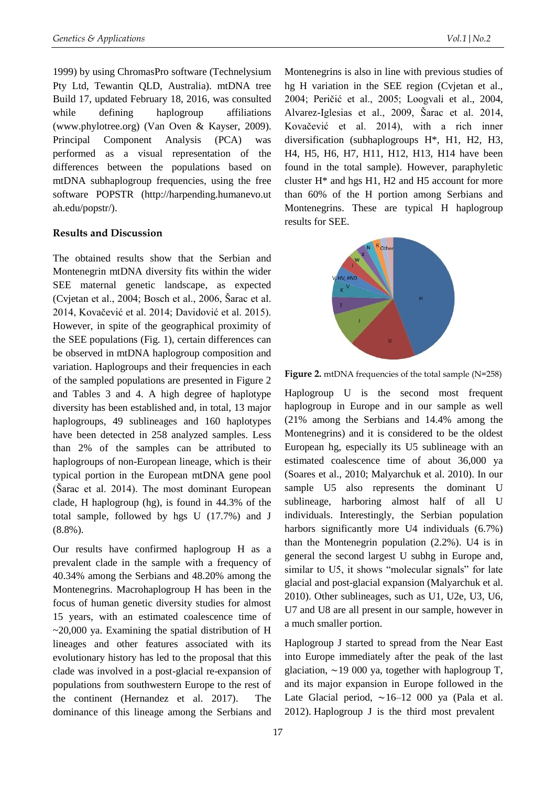1999) by using ChromasPro software (Technelysium Pty Ltd, Tewantin QLD, Australia). mtDNA tree Build 17, updated February 18, 2016, was consulted while defining haplogroup affiliations (www.phylotree.org) (Van Oven & Kayser, 2009). Principal Component Analysis (PCA) was performed as a visual representation of the differences between the populations based on mtDNA subhaplogroup frequencies, using the free software POPSTR (http://harpending.humanevo.ut ah.edu/popstr/).

# **Results and Discussion**

The obtained results show that the Serbian and Montenegrin mtDNA diversity fits within the wider SEE maternal genetic landscape, as expected (Cvjetan et al., 2004; Bosch et al., 2006, Šarac et al. 2014, Kovačević et al. 2014; Davidović et al. 2015). However, in spite of the geographical proximity of the SEE populations (Fig. 1), certain differences can be observed in mtDNA haplogroup composition and variation. Haplogroups and their frequencies in each of the sampled populations are presented in Figure 2 and Tables 3 and 4. A high degree of haplotype diversity has been established and, in total, 13 major haplogroups, 49 sublineages and 160 haplotypes have been detected in 258 analyzed samples. Less than 2% of the samples can be attributed to haplogroups of non-European lineage, which is their typical portion in the European mtDNA gene pool (Šarac et al. 2014). The most dominant European clade, H haplogroup (hg), is found in 44.3% of the total sample, followed by hgs U (17.7%) and J (8.8%).

Our results have confirmed haplogroup H as a prevalent clade in the sample with a frequency of 40.34% among the Serbians and 48.20% among the Montenegrins. Macrohaplogroup H has been in the focus of human genetic diversity studies for almost 15 years, with an estimated coalescence time of  $\sim$ 20,000 ya. Examining the spatial distribution of H lineages and other features associated with its evolutionary history has led to the proposal that this clade was involved in a post-glacial re-expansion of populations from southwestern Europe to the rest of the continent (Hernandez et al. 2017). The dominance of this lineage among the Serbians and

Montenegrins is also in line with previous studies of hg H variation in the SEE region (Cvjetan et al., 2004; Peričić et al., 2005; Loogvali et al., 2004, Alvarez-Iglesias et al., 2009, Šarac et al. 2014, Kovačević et al. 2014), with a rich inner diversification (subhaplogroups H\*, H1, H2, H3, H4, H5, H6, H7, H11, H12, H13, H14 have been found in the total sample). However, paraphyletic cluster H\* and hgs H1, H2 and H5 account for more than 60% of the H portion among Serbians and Montenegrins. These are typical H haplogroup results for SEE.



**Figure 2.** mtDNA frequencies of the total sample (N=258)

Haplogroup U is the second most frequent haplogroup in Europe and in our sample as well (21% among the Serbians and 14.4% among the Montenegrins) and it is considered to be the oldest European hg, especially its U5 sublineage with an estimated coalescence time of about 36,000 ya (Soares et al., 2010; Malyarchuk et al. 2010). In our sample U5 also represents the dominant U sublineage, harboring almost half of all U individuals. Interestingly, the Serbian population harbors significantly more U4 individuals  $(6.7\%)$ than the Montenegrin population (2.2%). U4 is in general the second largest U subhg in Europe and, similar to U5, it shows "molecular signals" for late glacial and post-glacial expansion (Malyarchuk et al. 2010). Other sublineages, such as U1, U2e, U3, U6, U7 and U8 are all present in our sample, however in a much smaller portion.

Haplogroup J started to spread from the Near East into Europe immediately after the peak of the last glaciation, ∼19 000 ya, together with haplogroup T, and its major expansion in Europe followed in the Late Glacial period, ∼16–12 000 ya (Pala et al. 2012). Haplogroup J is the third most prevalent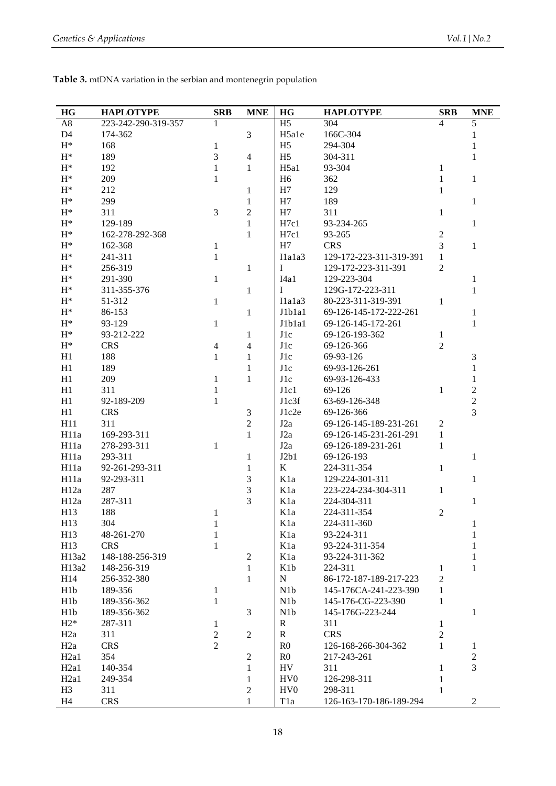| Table 3. mtDNA variation in the serbian and montenegrin population |  |
|--------------------------------------------------------------------|--|
|--------------------------------------------------------------------|--|

| HG               | <b>HAPLOTYPE</b>    | <b>SRB</b>     | <b>MNE</b>       | HG                          | <b>HAPLOTYPE</b>        | <b>SRB</b>       | <b>MNE</b>       |
|------------------|---------------------|----------------|------------------|-----------------------------|-------------------------|------------------|------------------|
| A8               | 223-242-290-319-357 | $\mathbf{1}$   |                  | H <sub>5</sub>              | 304                     | $\overline{4}$   | 5                |
| D <sub>4</sub>   | 174-362             |                | 3                | H <sub>5a1e</sub>           | 166C-304                |                  | 1                |
| $H^*$            | 168                 | $\mathbf{1}$   |                  | H <sub>5</sub>              | 294-304                 |                  | 1                |
| $H^*$            | 189                 | 3              | $\overline{4}$   | H <sub>5</sub>              | 304-311                 |                  | 1                |
| $\mathrm{H}^*$   | 192                 | $\mathbf{1}$   | $\mathbf{1}$     | H5a1                        | 93-304                  | 1                |                  |
| $H^*$            | 209                 | 1              |                  | H <sub>6</sub>              | 362                     | 1                | $\mathbf{1}$     |
| $H^*$            | 212                 |                | $\mathbf{1}$     | H7                          | 129                     | 1                |                  |
| $H^*$            | 299                 |                | 1                | H7                          | 189                     |                  | 1                |
| $H^*$            | 311                 | 3              | 2                | H7                          | 311                     | 1                |                  |
| $H^*$            | 129-189             |                | 1                | H7c1                        | 93-234-265              |                  | 1                |
| $H^*$            | 162-278-292-368     |                | $\mathbf{1}$     | H7c1                        | 93-265                  | $\overline{2}$   |                  |
| $H^*$            | 162-368             | $\mathbf{1}$   |                  | H7                          | <b>CRS</b>              | 3                | $\mathbf{1}$     |
| $H^*$            | 241-311             | $\mathbf{1}$   |                  | I1a1a3                      | 129-172-223-311-319-391 | $\mathbf{1}$     |                  |
| $H^*$            | 256-319             |                | $\mathbf{1}$     | I                           | 129-172-223-311-391     | $\overline{2}$   |                  |
| $H^*$            | 291-390             | $\mathbf{1}$   |                  | I4a1                        | 129-223-304             |                  | 1                |
| $H^*$            | 311-355-376         |                |                  | $\mathbf{I}$                | 129G-172-223-311        |                  | $\mathbf{1}$     |
| $H^*$            | 51-312              |                | $\mathbf{1}$     |                             | 80-223-311-319-391      | 1                |                  |
| $\mathbf{H}^*$   |                     | $\mathbf{1}$   |                  | I1a1a3                      |                         |                  |                  |
|                  | 86-153              |                | $\mathbf{1}$     | J1b1a1                      | 69-126-145-172-222-261  |                  | 1                |
| $H^*$            | 93-129              | $\mathbf{1}$   |                  | J1b1a1                      | 69-126-145-172-261      |                  | $\mathbf{1}$     |
| $H^*$            | 93-212-222          |                | 1                | $_{\rm J1c}$                | 69-126-193-362          | 1                |                  |
| $H^*$            | <b>CRS</b>          | $\overline{4}$ | 4                | J1c                         | 69-126-366              | $\overline{2}$   |                  |
| H1               | 188                 | $\mathbf{1}$   | 1                | J1c                         | 69-93-126               |                  | $\mathfrak{Z}$   |
| H1               | 189                 |                | 1                | $_{\rm J1c}$                | 69-93-126-261           |                  | $\mathbf{1}$     |
| H1               | 209                 | $\mathbf{1}$   | $\mathbf{1}$     | $_{\rm J1c}$                | 69-93-126-433           |                  | $\mathbf{1}$     |
| H1               | 311                 | 1              |                  | J1c1                        | 69-126                  | 1                | $\boldsymbol{2}$ |
| H1               | 92-189-209          | 1              |                  | J1c3f                       | 63-69-126-348           |                  | $\mathbf 2$      |
| H1               | <b>CRS</b>          |                | $\mathfrak{Z}$   | J1c2e                       | 69-126-366              |                  | $\overline{3}$   |
| H11              | 311                 |                | $\overline{2}$   | J2a                         | 69-126-145-189-231-261  | $\overline{2}$   |                  |
| H11a             | 169-293-311         |                | $\mathbf{1}$     | J2a                         | 69-126-145-231-261-291  | 1                |                  |
| H11a             | 278-293-311         | 1              |                  | J2a                         | 69-126-189-231-261      | 1                |                  |
| H11a             | 293-311             |                | 1                | J2b1                        | 69-126-193              |                  | 1                |
| H11a             | 92-261-293-311      |                | 1                | $\bf K$                     | 224-311-354             | 1                |                  |
| H11a             | 92-293-311          |                | 3                | K1a                         | 129-224-301-311         |                  | 1                |
| H12a             | 287                 |                | 3                | K <sub>1</sub> a            | 223-224-234-304-311     | 1                |                  |
| H12a             | 287-311             |                | 3                | K1a                         | 224-304-311             |                  | 1                |
| H13              | 188                 | $\mathbf{1}$   |                  | K <sub>1</sub> a            | 224-311-354             | $\boldsymbol{2}$ |                  |
| H13              | 304                 | $\mathbf 1$    |                  | K1a                         | 224-311-360             |                  | $\mathbf{1}$     |
| H13              | 48-261-270          | $\mathbf{1}$   |                  | K1a                         | 93-224-311              |                  | $\mathbf{1}$     |
| H13              | <b>CRS</b>          | $\mathbf{1}$   |                  | K1a                         | 93-224-311-354          |                  | $\,1\,$          |
| H13a2            | 148-188-256-319     |                | $\overline{c}$   | K1a                         | 93-224-311-362          |                  | $\,1\,$          |
| H13a2            | 148-256-319         |                | $\mathbf{1}$     | K <sub>1</sub> b            | 224-311                 | 1                | $\mathbf{1}$     |
| H14              | 256-352-380         |                | $\mathbf{1}$     | ${\bf N}$                   | 86-172-187-189-217-223  | $\overline{2}$   |                  |
| H <sub>1</sub> b | 189-356             | $\mathbf{1}$   |                  | N1b                         | 145-176CA-241-223-390   | $\mathbf{1}$     |                  |
| H <sub>1</sub> b | 189-356-362         | $\mathbf{1}$   |                  | N1b                         | 145-176-CG-223-390      | $\mathbf{1}$     |                  |
| H1b              | 189-356-362         |                | $\mathfrak{Z}$   | N1b                         | 145-176G-223-244        |                  | $\,1\,$          |
| $H2*$            | 287-311             | 1              |                  | $\mathbf R$                 | 311                     | 1                |                  |
| H2a              | 311                 | $\sqrt{2}$     | $\boldsymbol{2}$ | $\mathbf R$                 | <b>CRS</b>              | $\overline{2}$   |                  |
| H2a              | <b>CRS</b>          | $\overline{2}$ |                  | R <sub>0</sub>              | 126-168-266-304-362     | $\mathbf{1}$     | $\mathbf{1}$     |
| H <sub>2a1</sub> | 354                 |                | $\mathbf{2}$     | R <sub>0</sub>              | 217-243-261             |                  | $\sqrt{2}$       |
| H <sub>2a1</sub> | 140-354             |                | $\mathbf{1}$     | HV                          | 311                     | 1                | 3                |
| H <sub>2a1</sub> | 249-354             |                | $\mathbf{1}$     | H <sub>V</sub> <sup>0</sup> | 126-298-311             | 1                |                  |
| H <sub>3</sub>   | 311                 |                | $\overline{c}$   | HV <sub>0</sub>             | 298-311                 | $\mathbf{1}$     |                  |
| H <sub>4</sub>   | <b>CRS</b>          |                | $\mathbf{1}$     | T <sub>1</sub> a            | 126-163-170-186-189-294 |                  | $\overline{2}$   |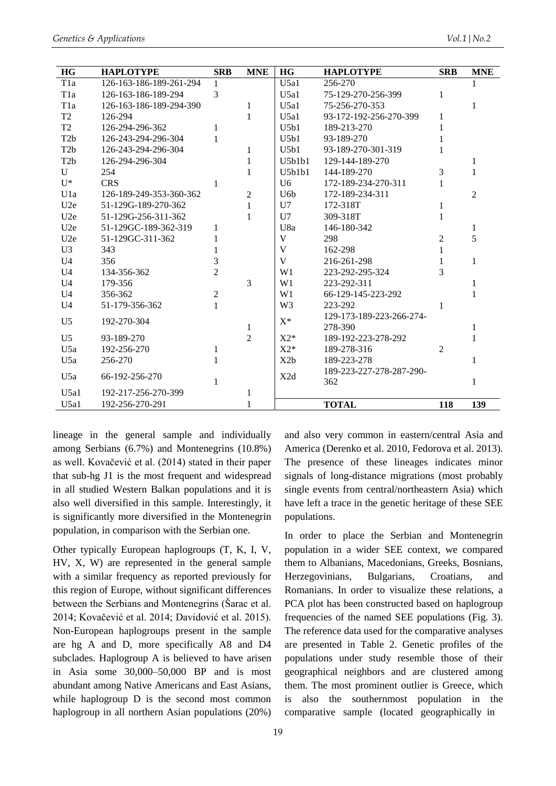| <b>HG</b>        | <b>HAPLOTYPE</b>        | <b>SRB</b>     | <b>MNE</b>     | <b>HG</b>       | <b>HAPLOTYPE</b>         | <b>SRB</b>     | <b>MNE</b>     |
|------------------|-------------------------|----------------|----------------|-----------------|--------------------------|----------------|----------------|
| T <sub>1</sub> a | 126-163-186-189-261-294 | 1              |                | U5a1            | 256-270                  |                |                |
| T <sub>1</sub> a | 126-163-186-189-294     | 3              |                | U5a1            | 75-129-270-256-399       | 1              |                |
| T <sub>1</sub> a | 126-163-186-189-294-390 |                | 1              | U5a1            | 75-256-270-353           |                | 1              |
| T <sub>2</sub>   | 126-294                 |                | 1              | U5a1            | 93-172-192-256-270-399   | 1              |                |
| T2               | 126-294-296-362         | 1              |                | U5h1            | 189-213-270              |                |                |
| T <sub>2</sub> b | 126-243-294-296-304     | 1              |                | U5b1            | 93-189-270               |                |                |
| T <sub>2</sub> b | 126-243-294-296-304     |                | 1              | U5h1            | 93-189-270-301-319       |                |                |
| T <sub>2</sub> b | 126-294-296-304         |                | 1              | U5h1h1          | 129-144-189-270          |                | 1              |
| $\mathbf{U}$     | 254                     |                | 1              | U5h1h1          | 144-189-270              | 3              | 1              |
| $\mathbf{U}^*$   | <b>CRS</b>              | 1              |                | U <sub>6</sub>  | 172-189-234-270-311      | 1              |                |
| U1a              | 126-189-249-353-360-362 |                | $\overline{2}$ | U <sub>6b</sub> | 172-189-234-311          |                | $\overline{2}$ |
| U2e              | 51-129G-189-270-362     |                | 1              | U <sub>7</sub>  | 172-318T                 | 1              |                |
| U2e              | 51-129G-256-311-362     |                | 1              | U7              | 309-318T                 |                |                |
| U2e              | 51-129GC-189-362-319    | 1              |                | U8a             | 146-180-342              |                | 1              |
| U2e              | 51-129GC-311-362        |                |                | V               | 298                      | $\overline{2}$ | 5              |
| U <sub>3</sub>   | 343                     |                |                | V               | 162-298                  | 1              |                |
| U <sub>4</sub>   | 356                     | 3              |                | V               | 216-261-298              |                | 1              |
| U <sub>4</sub>   | 134-356-362             | $\overline{2}$ |                | W <sub>1</sub>  | 223-292-295-324          | 3              |                |
| U <sub>4</sub>   | 179-356                 |                | 3              | W <sub>1</sub>  | 223-292-311              |                |                |
| U <sub>4</sub>   | 356-362                 | $\overline{2}$ |                | W1              | 66-129-145-223-292       |                | 1              |
| U <sub>4</sub>   | 51-179-356-362          | 1              |                | W <sub>3</sub>  | 223-292                  | 1              |                |
| U <sub>5</sub>   | 192-270-304             |                |                | $X^*$           | 129-173-189-223-266-274- |                |                |
|                  |                         |                | 1              |                 | 278-390                  |                | 1              |
| U <sub>5</sub>   | 93-189-270              |                | $\overline{2}$ | $X2*$           | 189-192-223-278-292      |                |                |
| U5a              | 192-256-270             | 1              |                | $X2*$           | 189-278-316              | 2              |                |
| U5a              | 256-270                 |                |                | X2b             | 189-223-278              |                | 1              |
| U5a              | 66-192-256-270          |                |                | X2d             | 189-223-227-278-287-290- |                |                |
|                  |                         |                |                |                 | 362                      |                | 1              |
| U5a1             | 192-217-256-270-399     |                | 1              |                 |                          |                |                |
| U5a1             | 192-256-270-291         |                | 1              |                 | <b>TOTAL</b>             | 118            | 139            |

lineage in the general sample and individually among Serbians (6.7%) and Montenegrins (10.8%) as well. Kovačević et al. (2014) stated in their paper that sub-hg J1 is the most frequent and widespread in all studied Western Balkan populations and it is also well diversified in this sample. Interestingly, it is significantly more diversified in the Montenegrin population, in comparison with the Serbian one.

Other typically European haplogroups (T, K, I, V, HV, X, W) are represented in the general sample with a similar frequency as reported previously for this region of Europe, without significant differences between the Serbians and Montenegrins (Sarac et al. 2014; Kovačević et al. 2014; Davidović et al. 2015). Non-European haplogroups present in the sample are hg A and D, more specifically A8 and D4 subclades. Haplogroup A is believed to have arisen in Asia some  $30,000-50,000$  BP and is most abundant among Native Americans and East Asians, while haplogroup D is the second most common haplogroup in all northern Asian populations (20%)

and also very common in eastern/central Asia and America (Derenko et al. 2010, Fedorova et al. 2013). The presence of these lineages indicates minor signals of long-distance migrations (most probably single events from central/northeastern Asia) which have left a trace in the genetic heritage of these SEE populations.

In order to place the Serbian and Montenegrin population in a wider SEE context, we compared them to Albanians, Macedonians, Greeks, Bosnians, Herzegovinians, Bulgarians, Croatians. and Romanians. In order to visualize these relations, a PCA plot has been constructed based on haplogroup frequencies of the named SEE populations (Fig. 3). The reference data used for the comparative analyses are presented in Table 2. Genetic profiles of the populations under study resemble those of their geographical neighbors and are clustered among them. The most prominent outlier is Greece, which also the southernmost population in the is comparative sample (located geographically in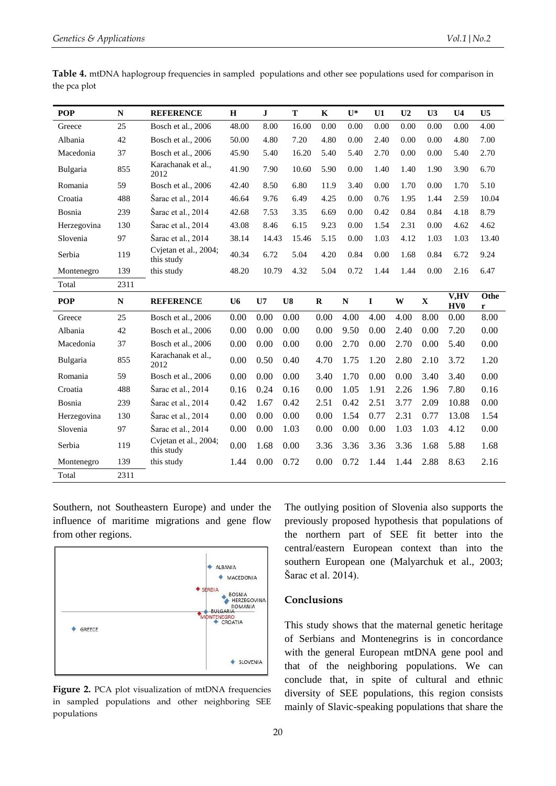| <b>POP</b>  | N    | <b>REFERENCE</b>                    | Н              | $\mathbf{J}$ | T          | K           | $\mathbf{U}^*$ | U1          | U <sub>2</sub> | U3          | U <sub>4</sub>          | U <sub>5</sub> |
|-------------|------|-------------------------------------|----------------|--------------|------------|-------------|----------------|-------------|----------------|-------------|-------------------------|----------------|
| Greece      | 25   | Bosch et al., 2006                  | 48.00          | 8.00         | 16.00      | 0.00        | 0.00           | 0.00        | 0.00           | 0.00        | 0.00                    | 4.00           |
| Albania     | 42   | Bosch et al., 2006                  | 50.00          | 4.80         | 7.20       | 4.80        | 0.00           | 2.40        | 0.00           | 0.00        | 4.80                    | 7.00           |
| Macedonia   | 37   | Bosch et al., 2006                  | 45.90          | 5.40         | 16.20      | 5.40        | 5.40           | 2.70        | 0.00           | 0.00        | 5.40                    | 2.70           |
| Bulgaria    | 855  | Karachanak et al.,<br>2012          | 41.90          | 7.90         | 10.60      | 5.90        | 0.00           | 1.40        | 1.40           | 1.90        | 3.90                    | 6.70           |
| Romania     | 59   | Bosch et al., 2006                  | 42.40          | 8.50         | 6.80       | 11.9        | 3.40           | 0.00        | 1.70           | 0.00        | 1.70                    | 5.10           |
| Croatia     | 488  | Sarac et al., 2014                  | 46.64          | 9.76         | 6.49       | 4.25        | 0.00           | 0.76        | 1.95           | 1.44        | 2.59                    | 10.04          |
| Bosnia      | 239  | Šarac et al., 2014                  | 42.68          | 7.53         | 3.35       | 6.69        | 0.00           | 0.42        | 0.84           | 0.84        | 4.18                    | 8.79           |
| Herzegovina | 130  | Sarac et al., 2014                  | 43.08          | 8.46         | 6.15       | 9.23        | 0.00           | 1.54        | 2.31           | 0.00        | 4.62                    | 4.62           |
| Slovenia    | 97   | Šarac et al., 2014                  | 38.14          | 14.43        | 15.46      | 5.15        | 0.00           | 1.03        | 4.12           | 1.03        | 1.03                    | 13.40          |
| Serbia      | 119  | Cvjetan et al., 2004;<br>this study | 40.34          | 6.72         | 5.04       | 4.20        | 0.84           | 0.00        | 1.68           | 0.84        | 6.72                    | 9.24           |
| Montenegro  | 139  | this study                          | 48.20          | 10.79        | 4.32       | 5.04        | 0.72           | 1.44        | 1.44           | 0.00        | 2.16                    | 6.47           |
| Total       | 2311 |                                     |                |              |            |             |                |             |                |             |                         |                |
|             |      |                                     |                |              |            |             |                |             |                |             |                         |                |
| <b>POP</b>  | N    | <b>REFERENCE</b>                    | U <sub>6</sub> | U7           | ${\bf U}8$ | $\mathbf R$ | ${\bf N}$      | $\mathbf I$ | W              | $\mathbf X$ | V,HV<br>HV <sub>0</sub> | Othe<br>r      |
| Greece      | 25   | Bosch et al., 2006                  | 0.00           | 0.00         | 0.00       | 0.00        | 4.00           | 4.00        | 4.00           | 8.00        | 0.00                    | 8.00           |
| Albania     | 42   | Bosch et al., 2006                  | 0.00           | 0.00         | 0.00       | 0.00        | 9.50           | 0.00        | 2.40           | 0.00        | 7.20                    | 0.00           |
| Macedonia   | 37   | Bosch et al., 2006                  | 0.00           | 0.00         | 0.00       | 0.00        | 2.70           | 0.00        | 2.70           | 0.00        | 5.40                    | 0.00           |
| Bulgaria    | 855  | Karachanak et al.,<br>2012          | 0.00           | 0.50         | 0.40       | 4.70        | 1.75           | 1.20        | 2.80           | 2.10        | 3.72                    | 1.20           |
| Romania     | 59   | Bosch et al., 2006                  | 0.00           | 0.00         | 0.00       | 3.40        | 1.70           | 0.00        | 0.00           | 3.40        | 3.40                    | 0.00           |
| Croatia     | 488  | Šarac et al., 2014                  | 0.16           | 0.24         | 0.16       | 0.00        | 1.05           | 1.91        | 2.26           | 1.96        | 7.80                    | 0.16           |
| Bosnia      | 239  | Šarac et al., 2014                  | 0.42           | 1.67         | 0.42       | 2.51        | 0.42           | 2.51        | 3.77           | 2.09        | 10.88                   | 0.00           |
| Herzegovina | 130  | Sarac et al., 2014                  | 0.00           | 0.00         | 0.00       | 0.00        | 1.54           | 0.77        | 2.31           | 0.77        | 13.08                   | 1.54           |
| Slovenia    | 97   | Šarac et al., 2014                  | 0.00           | 0.00         | 1.03       | 0.00        | 0.00           | 0.00        | 1.03           | 1.03        | 4.12                    | 0.00           |
| Serbia      | 119  | Cvjetan et al., 2004;<br>this study | 0.00           | 1.68         | 0.00       | 3.36        | 3.36           | 3.36        | 3.36           | 1.68        | 5.88                    | 1.68           |
| Montenegro  | 139  | this study                          | 1.44           | 0.00         | 0.72       | 0.00        | 0.72           | 1.44        | 1.44           | 2.88        | 8.63                    | 2.16           |

**Table 4.** mtDNA haplogroup frequencies in sampled populations and other see populations used for comparison in the pca plot

Southern, not Southeastern Europe) and under the influence of maritime migrations and gene flow from other regions.



Figure 2. PCA plot visualization of mtDNA frequencies in sampled populations and other neighboring SEE populations

The outlying position of Slovenia also supports the previously proposed hypothesis that populations of the northern part of SEE fit better into the central/eastern European context than into the southern European one (Malyarchuk et al., 2003; Šarac et al. 2014).

### **Conclusions**

This study shows that the maternal genetic heritage of Serbians and Montenegrins is in concordance with the general European mtDNA gene pool and that of the neighboring populations. We can conclude that, in spite of cultural and ethnic diversity of SEE populations, this region consists mainly of Slavic-speaking populations that share the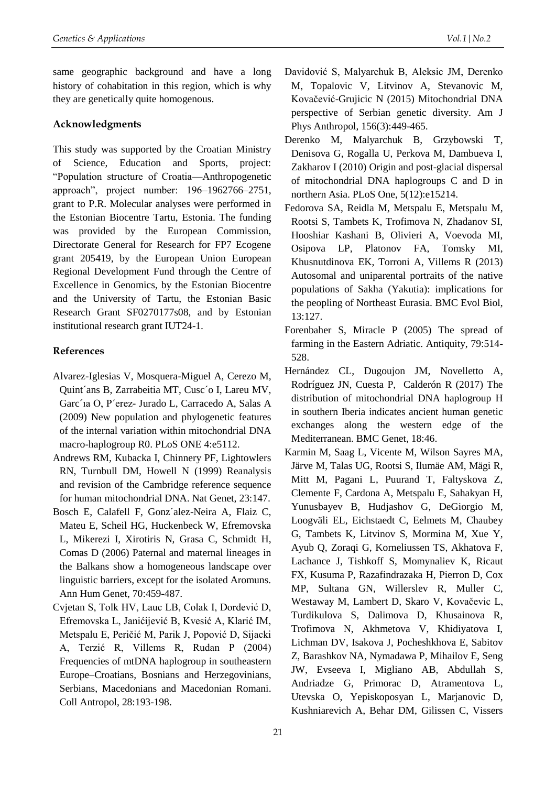same geographic background and have a long history of cohabitation in this region, which is why they are genetically quite homogenous.

# **Acknowledgments**

This study was supported by the Croatian Ministry of Science, Education and Sports, project: "Population structure of Croatia—Anthropogenetic approach", project number: 196–1962766–2751, grant to P.R. Molecular analyses were performed in the Estonian Biocentre Tartu, Estonia. The funding was provided by the European Commission, Directorate General for Research for FP7 Ecogene grant 205419, by the European Union European Regional Development Fund through the Centre of Excellence in Genomics, by the Estonian Biocentre and the University of Tartu, the Estonian Basic Research Grant SF0270177s08, and by Estonian institutional research grant IUT24-1.

# **References**

- Alvarez-Iglesias V, Mosquera-Miguel A, Cerezo M, Quint´ans B, Zarrabeitia MT, Cusc´o I, Lareu MV, Garc´ıa O, P´erez- Jurado L, Carracedo A, Salas A (2009) New population and phylogenetic features of the internal variation within mitochondrial DNA macro-haplogroup R0. PLoS ONE 4:e5112.
- Andrews RM, Kubacka I, Chinnery PF, Lightowlers RN, Turnbull DM, Howell N (1999) Reanalysis and revision of the Cambridge reference sequence for human mitochondrial DNA. Nat Genet, 23:147.
- Bosch E, Calafell F, Gonz´alez-Neira A, Flaiz C, Mateu E, Scheil HG, Huckenbeck W, Efremovska L, Mikerezi I, Xirotiris N, Grasa C, Schmidt H, Comas D (2006) Paternal and maternal lineages in the Balkans show a homogeneous landscape over linguistic barriers, except for the isolated Aromuns. Ann Hum Genet, 70:459-487.
- Cvjetan S, Tolk HV, Lauc LB, Colak I, Dordević D, Efremovska L, Janićijević B, Kvesić A, Klarić IM, Metspalu E, Peričić M, Parik J, Popović D, Sijacki A, Terzić R, Villems R, Rudan P (2004) Frequencies of mtDNA haplogroup in southeastern Europe–Croatians, Bosnians and Herzegovinians, Serbians, Macedonians and Macedonian Romani. Coll Antropol, 28:193-198.
- Davidović S, Malyarchuk B, Aleksic JM, Derenko M, Topalovic V, Litvinov A, Stevanovic M, Kovačević-Grujicic N (2015) Mitochondrial DNA perspective of Serbian genetic diversity. Am J Phys Anthropol, 156(3):449-465.
- Derenko M, Malyarchuk B, Grzybowski T, Denisova G, Rogalla U, Perkova M, Dambueva I, Zakharov I (2010) Origin and post-glacial dispersal of mitochondrial DNA haplogroups C and D in northern Asia. PLoS One, 5(12):e15214.
- Fedorova SA, Reidla M, Metspalu E, Metspalu M, Rootsi S, Tambets K, Trofimova N, Zhadanov SI, Hooshiar Kashani B, Olivieri A, Voevoda MI, Osipova LP, Platonov FA, Tomsky MI, Khusnutdinova EK, Torroni A, Villems R (2013) Autosomal and uniparental portraits of the native populations of Sakha (Yakutia): implications for the peopling of Northeast Eurasia. BMC Evol Biol, 13:127.
- Forenbaher S, Miracle P (2005) The spread of farming in the Eastern Adriatic. Antiquity, 79:514- 528.
- Hernández CL, Dugoujon JM, Novelletto A, Rodríguez JN, Cuesta P, Calderón R (2017) The distribution of mitochondrial DNA haplogroup H in southern Iberia indicates ancient human genetic exchanges along the western edge of the Mediterranean. BMC Genet, 18:46.
- Karmin M, Saag L, Vicente M, Wilson Sayres MA, Järve M, Talas UG, Rootsi S, Ilumäe AM, Mägi R, Mitt M, Pagani L, Puurand T, Faltyskova Z, Clemente F, Cardona A, Metspalu E, Sahakyan H, Yunusbayev B, Hudjashov G, DeGiorgio M, Loogväli EL, Eichstaedt C, Eelmets M, Chaubey G, Tambets K, Litvinov S, Mormina M, Xue Y, Ayub Q, Zoraqi G, Korneliussen TS, Akhatova F, Lachance J, Tishkoff S, Momynaliev K, Ricaut FX, Kusuma P, Razafindrazaka H, Pierron D, Cox MP, Sultana GN, Willerslev R, Muller C, Westaway M, Lambert D, Skaro V, Kovačevic L, Turdikulova S, Dalimova D, Khusainova R, Trofimova N, Akhmetova V, Khidiyatova I, Lichman DV, Isakova J, Pocheshkhova E, Sabitov Z, Barashkov NA, Nymadawa P, Mihailov E, Seng JW, Evseeva I, Migliano AB, Abdullah S, Andriadze G, Primorac D, Atramentova L, Utevska O, Yepiskoposyan L, Marjanovic D, Kushniarevich A, Behar DM, Gilissen C, Vissers